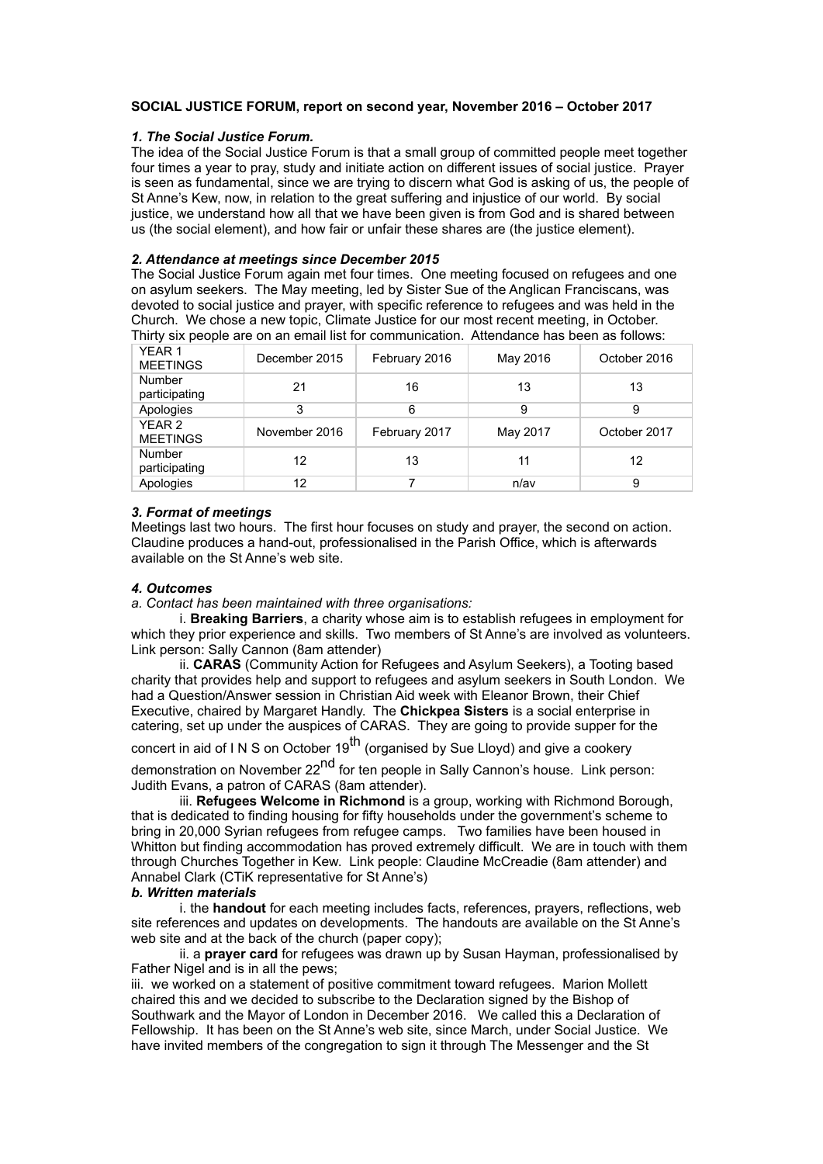# **SOCIAL JUSTICE FORUM, report on second year, November 2016 – October 2017**

#### *1. The Social Justice Forum.*

The idea of the Social Justice Forum is that a small group of committed people meet together four times a year to pray, study and initiate action on different issues of social justice. Prayer is seen as fundamental, since we are trying to discern what God is asking of us, the people of St Anne's Kew, now, in relation to the great suffering and injustice of our world. By social justice, we understand how all that we have been given is from God and is shared between us (the social element), and how fair or unfair these shares are (the justice element).

#### *2. Attendance at meetings since December 2015*

The Social Justice Forum again met four times. One meeting focused on refugees and one on asylum seekers. The May meeting, led by Sister Sue of the Anglican Franciscans, was devoted to social justice and prayer, with specific reference to refugees and was held in the Church. We chose a new topic, Climate Justice for our most recent meeting, in October. Thirty six people are on an email list for communication. Attendance has been as follows:

| YEAR <sub>1</sub><br><b>MEETINGS</b> | December 2015 | February 2016 | May 2016 | October 2016 |
|--------------------------------------|---------------|---------------|----------|--------------|
| <b>Number</b><br>participating       | 21            | 16            | 13       | 13           |
| Apologies                            | 3             | 6             | 9        | 9            |
| YEAR <sub>2</sub><br><b>MEETINGS</b> | November 2016 | February 2017 | May 2017 | October 2017 |
| <b>Number</b><br>participating       | 12            | 13            | 11       | 12           |
| Apologies                            | 12            |               | n/av     | 9            |

#### *3. Format of meetings*

Meetings last two hours. The first hour focuses on study and prayer, the second on action. Claudine produces a hand-out, professionalised in the Parish Office, which is afterwards available on the St Anne's web site.

### *4. Outcomes*

*a. Contact has been maintained with three organisations:*

i. **Breaking Barriers**, a charity whose aim is to establish refugees in employment for which they prior experience and skills. Two members of St Anne's are involved as volunteers. Link person: Sally Cannon (8am attender)

ii. **CARAS** (Community Action for Refugees and Asylum Seekers), a Tooting based charity that provides help and support to refugees and asylum seekers in South London. We had a Question/Answer session in Christian Aid week with Eleanor Brown, their Chief Executive, chaired by Margaret Handly. The **Chickpea Sisters** is a social enterprise in catering, set up under the auspices of CARAS. They are going to provide supper for the

concert in aid of IN S on October 19<sup>th</sup> (organised by Sue Lloyd) and give a cookery

demonstration on November 22<sup>nd</sup> for ten people in Sally Cannon's house. Link person: Judith Evans, a patron of CARAS (8am attender).

iii. **Refugees Welcome in Richmond** is a group, working with Richmond Borough, that is dedicated to finding housing for fifty households under the government's scheme to bring in 20,000 Syrian refugees from refugee camps. Two families have been housed in Whitton but finding accommodation has proved extremely difficult. We are in touch with them through Churches Together in Kew. Link people: Claudine McCreadie (8am attender) and Annabel Clark (CTiK representative for St Anne's)

### *b. Written materials*

i. the **handout** for each meeting includes facts, references, prayers, reflections, web site references and updates on developments. The handouts are available on the St Anne's web site and at the back of the church (paper copy);

ii. a **prayer card** for refugees was drawn up by Susan Hayman, professionalised by Father Nigel and is in all the pews;

iii. we worked on a statement of positive commitment toward refugees. Marion Mollett chaired this and we decided to subscribe to the Declaration signed by the Bishop of Southwark and the Mayor of London in December 2016. We called this a Declaration of Fellowship. It has been on the St Anne's web site, since March, under Social Justice. We have invited members of the congregation to sign it through The Messenger and the St